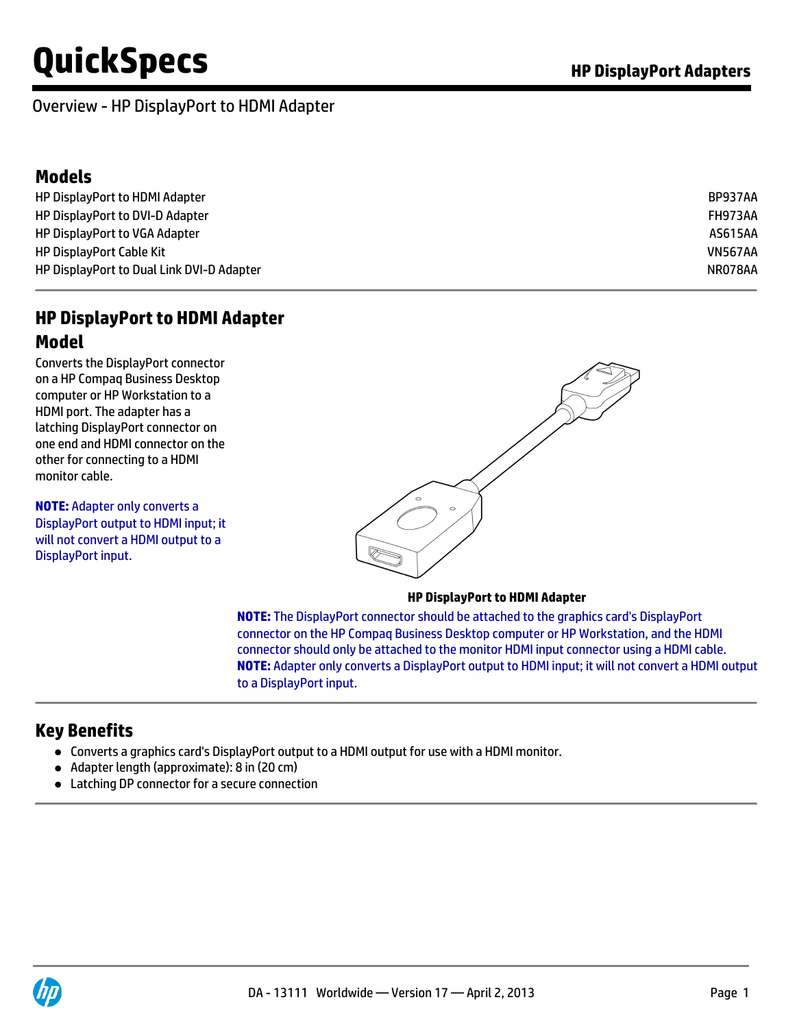#### Overview - HP DisplayPort to HDMI Adapter

### **Models**

| HP DisplayPort to HDMI Adapter            | BP937AA        |
|-------------------------------------------|----------------|
| HP DisplayPort to DVI-D Adapter           | FH973AA        |
| HP DisplayPort to VGA Adapter             | AS615AA        |
| <b>HP DisplayPort Cable Kit</b>           | <b>VN567AA</b> |
| HP DisplayPort to Dual Link DVI-D Adapter | NR078AA        |

# **HP DisplayPort to HDMI Adapter**

#### **Model**

Converts the DisplayPort connector on a HP Compaq Business Desktop computer or HP Workstation to a HDMI port. The adapter has a latching DisplayPort connector on one end and HDMI connector on the other for connecting to a HDMI monitor cable.

**NOTE:** Adapter only converts a DisplayPort output to HDMI input; it will not convert a HDMI output to a DisplayPort input.



#### **HP DisplayPort to HDMI Adapter**

**NOTE:** The DisplayPort connector should be attached to the graphics card's DisplayPort connector on the HP Compaq Business Desktop computer or HP Workstation, and the HDMI connector should only be attached to the monitor HDMI input connector using a HDMI cable. **NOTE:** Adapter only converts a DisplayPort output to HDMI input; it will not convert a HDMI output to a DisplayPort input.

### **Key Benefits**

- Converts a graphics card's DisplayPort output to a HDMI output for use with a HDMI monitor.
- Adapter length (approximate): 8 in (20 cm)
- Latching DP connector for a secure connection

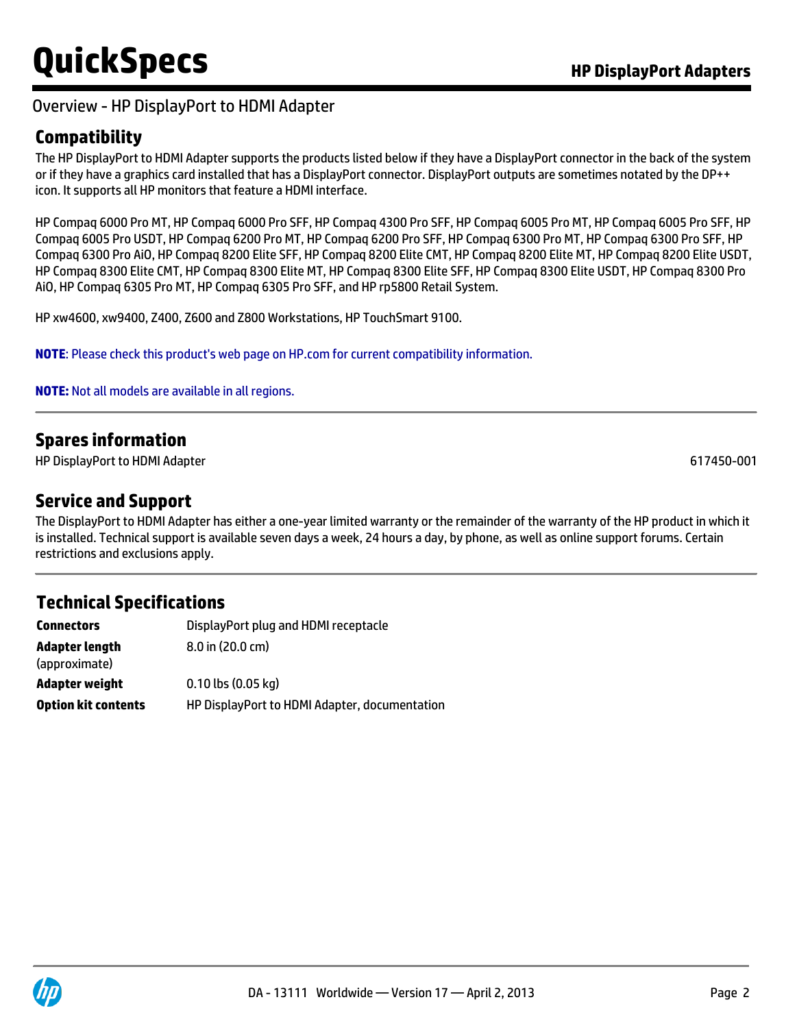#### Overview - HP DisplayPort to HDMI Adapter

# **Compatibility**

The HP DisplayPort to HDMI Adapter supports the products listed below if they have a DisplayPort connector in the back of the system or if they have a graphics card installed that has a DisplayPort connector. DisplayPort outputs are sometimes notated by the DP++ icon. It supports all HP monitors that feature a HDMI interface.

HP Compaq 6000 Pro MT, HP Compaq 6000 Pro SFF, HP Compaq 4300 Pro SFF, HP Compaq 6005 Pro MT, HP Compaq 6005 Pro SFF, HP Compaq 6005 Pro USDT, HP Compaq 6200 Pro MT, HP Compaq 6200 Pro SFF, HP Compaq 6300 Pro MT, HP Compaq 6300 Pro SFF, HP Compaq 6300 Pro AiO, HP Compaq 8200 Elite SFF, HP Compaq 8200 Elite CMT, HP Compaq 8200 Elite MT, HP Compaq 8200 Elite USDT, HP Compaq 8300 Elite CMT, HP Compaq 8300 Elite MT, HP Compaq 8300 Elite SFF, HP Compaq 8300 Elite USDT, HP Compaq 8300 Pro AiO, HP Compaq 6305 Pro MT, HP Compaq 6305 Pro SFF, and HP rp5800 Retail System.

HP xw4600, xw9400, Z400, Z600 and Z800 Workstations, HP TouchSmart 9100.

**NOTE**: Please check this product's web page on HP.com for current compatibility information.

**NOTE:** Not all models are available in all regions.

# **Spares information**

HP DisplayPort to HDMI Adapter 617450-001

#### **Service and Support**

The DisplayPort to HDMI Adapter has either a one-year limited warranty or the remainder of the warranty of the HP product in which it is installed. Technical support is available seven days a week, 24 hours a day, by phone, as well as online support forums. Certain restrictions and exclusions apply.

### **Technical Specifications**

| <b>Connectors</b>               | DisplayPort plug and HDMI receptacle          |  |
|---------------------------------|-----------------------------------------------|--|
| Adapter length<br>(approximate) | $8.0$ in $(20.0 \text{ cm})$                  |  |
| Adapter weight                  | $0.10$ lbs $(0.05$ kg)                        |  |
| <b>Option kit contents</b>      | HP DisplayPort to HDMI Adapter, documentation |  |

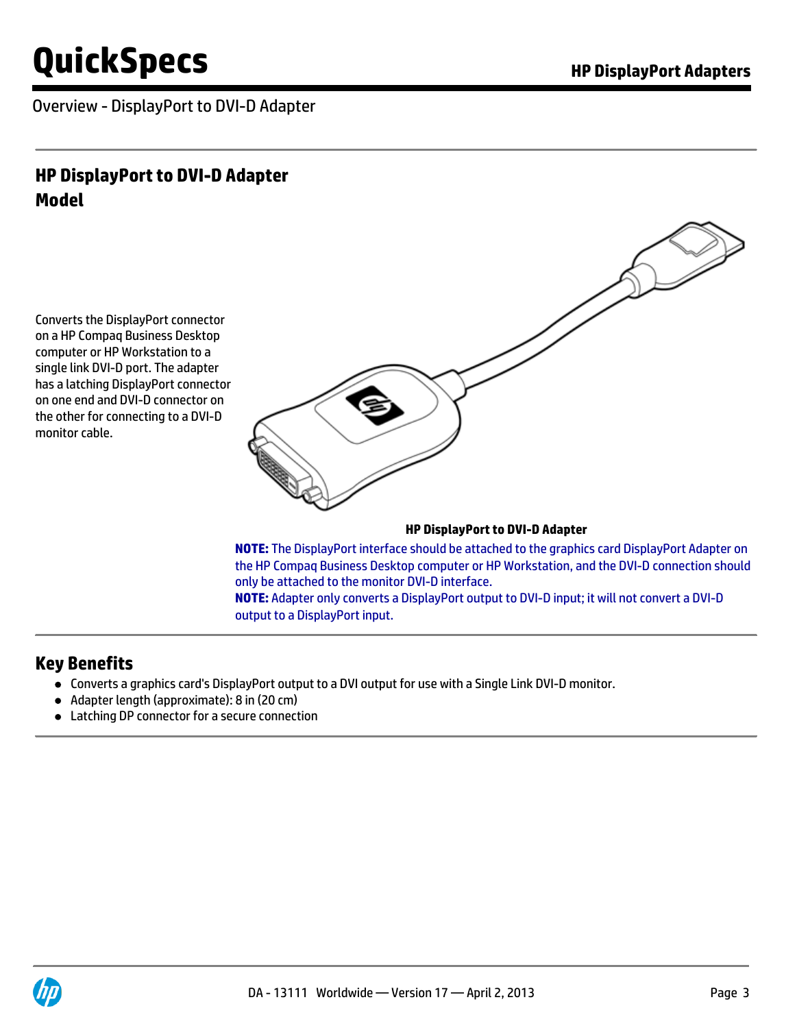Overview - DisplayPort to DVI-D Adapter

# **HP DisplayPort to DVI-D Adapter Model**

Converts the DisplayPort connector on a HP Compaq Business Desktop computer or HP Workstation to a single link DVI-D port. The adapter has a latching DisplayPort connector on one end and DVI-D connector on the other for connecting to a DVI-D monitor cable.



#### **HP DisplayPort to DVI-D Adapter**

**NOTE:** The DisplayPort interface should be attached to the graphics card DisplayPort Adapter on the HP Compaq Business Desktop computer or HP Workstation, and the DVI-D connection should only be attached to the monitor DVI-D interface. **NOTE:** Adapter only converts a DisplayPort output to DVI-D input; it will not convert a DVI-D output to a DisplayPort input.

#### **Key Benefits**

- Converts a graphics card's DisplayPort output to a DVI output for use with a Single Link DVI-D monitor.
- Adapter length (approximate): 8 in (20 cm)
- Latching DP connector for a secure connection

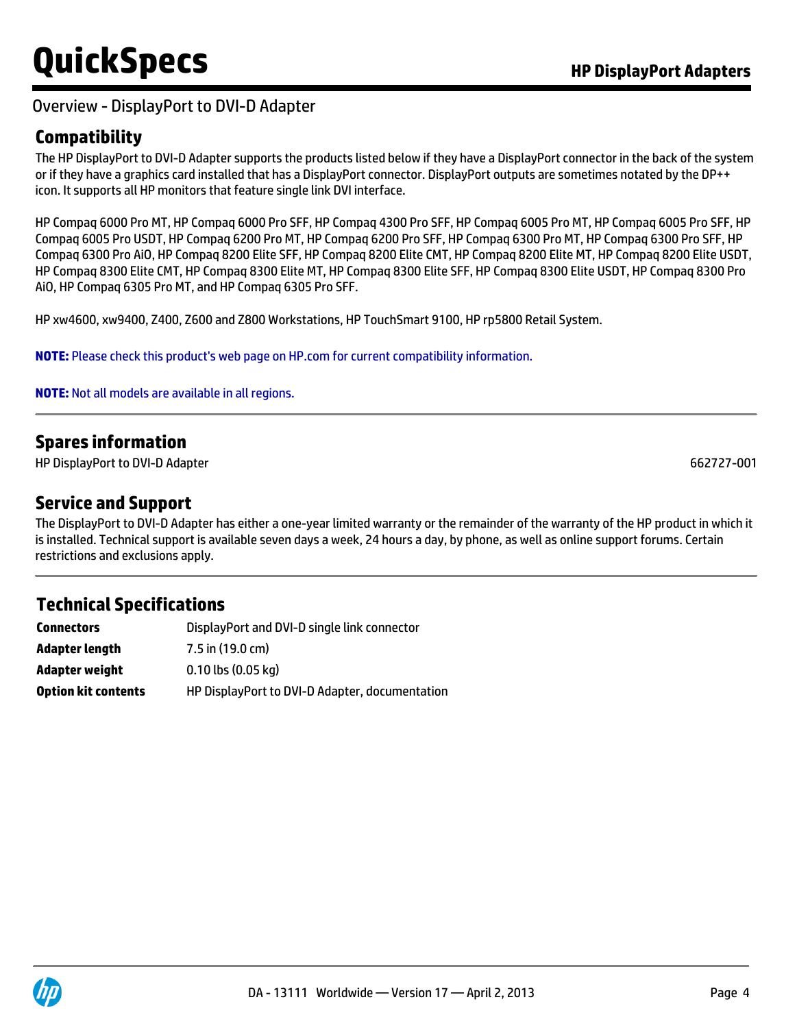#### Overview - DisplayPort to DVI-D Adapter

# **Compatibility**

The HP DisplayPort to DVI-D Adapter supports the products listed below if they have a DisplayPort connector in the back of the system or if they have a graphics card installed that has a DisplayPort connector. DisplayPort outputs are sometimes notated by the DP++ icon. It supports all HP monitors that feature single link DVI interface.

HP Compaq 6000 Pro MT, HP Compaq 6000 Pro SFF, HP Compaq 4300 Pro SFF, HP Compaq 6005 Pro MT, HP Compaq 6005 Pro SFF, HP Compaq 6005 Pro USDT, HP Compaq 6200 Pro MT, HP Compaq 6200 Pro SFF, HP Compaq 6300 Pro MT, HP Compaq 6300 Pro SFF, HP Compaq 6300 Pro AiO, HP Compaq 8200 Elite SFF, HP Compaq 8200 Elite CMT, HP Compaq 8200 Elite MT, HP Compaq 8200 Elite USDT, HP Compaq 8300 Elite CMT, HP Compaq 8300 Elite MT, HP Compaq 8300 Elite SFF, HP Compaq 8300 Elite USDT, HP Compaq 8300 Pro AiO, HP Compaq 6305 Pro MT, and HP Compaq 6305 Pro SFF.

HP xw4600, xw9400, Z400, Z600 and Z800 Workstations, HP TouchSmart 9100, HP rp5800 Retail System.

**NOTE:** Please check this product's web page on HP.com for current compatibility information.

**NOTE:** Not all models are available in all regions.

# **Spares information**

HP DisplayPort to DVI-D Adapter 662727-001

#### **Service and Support**

The DisplayPort to DVI-D Adapter has either a one-year limited warranty or the remainder of the warranty of the HP product in which it is installed. Technical support is available seven days a week, 24 hours a day, by phone, as well as online support forums. Certain restrictions and exclusions apply.

# **Technical Specifications**

| Connectors                 | DisplayPort and DVI-D single link connector    |
|----------------------------|------------------------------------------------|
| Adapter length             | $7.5$ in (19.0 cm)                             |
| Adapter weight             | $0.10$ lbs $(0.05$ kg)                         |
| <b>Option kit contents</b> | HP DisplayPort to DVI-D Adapter, documentation |

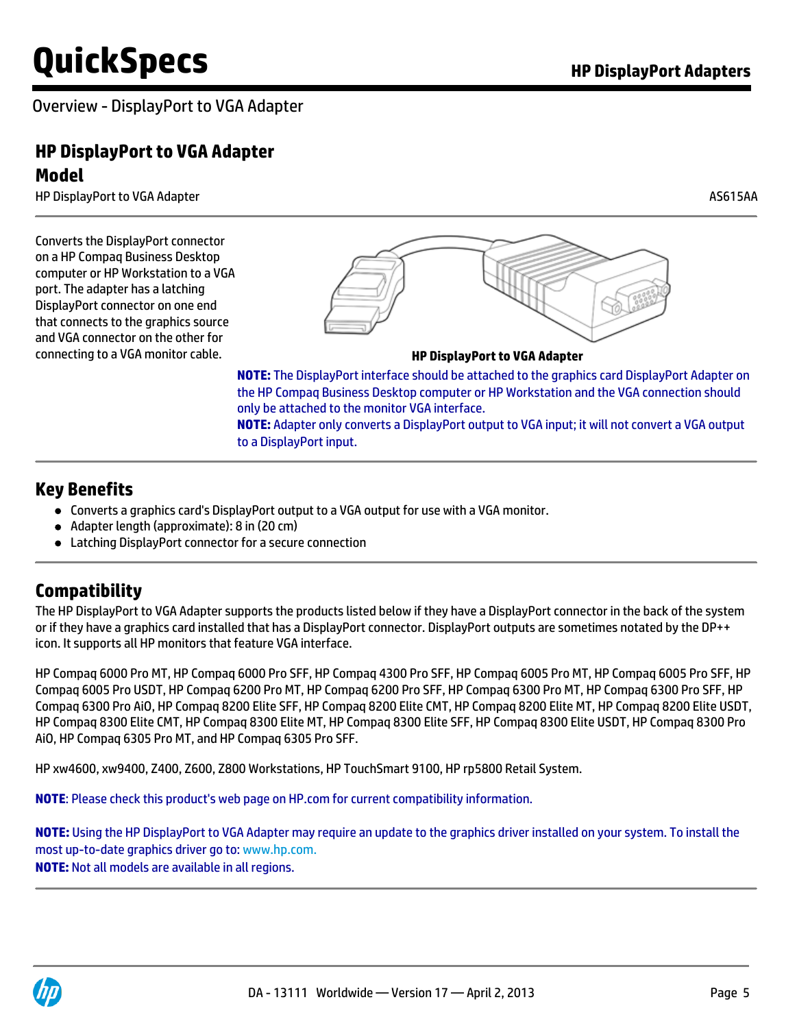Overview - DisplayPort to VGA Adapter

# **HP DisplayPort to VGA Adapter Model**

HP DisplayPort to VGA Adapter AS615AA

Converts the DisplayPort connector on a HP Compaq Business Desktop computer or HP Workstation to a VGA port. The adapter has a latching DisplayPort connector on one end that connects to the graphics source and VGA connector on the other for connecting to a VGA monitor cable. **HP DisplayPort to VGA Adapter**



**NOTE:** The DisplayPort interface should be attached to the graphics card DisplayPort Adapter on the HP Compaq Business Desktop computer or HP Workstation and the VGA connection should only be attached to the monitor VGA interface.

**NOTE:** Adapter only converts a DisplayPort output to VGA input; it will not convert a VGA output to a DisplayPort input.

#### **Key Benefits**

- Converts a graphics card's DisplayPort output to a VGA output for use with a VGA monitor.
- Adapter length (approximate): 8 in (20 cm)
- Latching DisplayPort connector for a secure connection

# **Compatibility**

The HP DisplayPort to VGA Adapter supports the products listed below if they have a DisplayPort connector in the back of the system or if they have a graphics card installed that has a DisplayPort connector. DisplayPort outputs are sometimes notated by the DP++ icon. It supports all HP monitors that feature VGA interface.

HP Compaq 6000 Pro MT, HP Compaq 6000 Pro SFF, HP Compaq 4300 Pro SFF, HP Compaq 6005 Pro MT, HP Compaq 6005 Pro SFF, HP Compaq 6005 Pro USDT, HP Compaq 6200 Pro MT, HP Compaq 6200 Pro SFF, HP Compaq 6300 Pro MT, HP Compaq 6300 Pro SFF, HP Compaq 6300 Pro AiO, HP Compaq 8200 Elite SFF, HP Compaq 8200 Elite CMT, HP Compaq 8200 Elite MT, HP Compaq 8200 Elite USDT, HP Compaq 8300 Elite CMT, HP Compaq 8300 Elite MT, HP Compaq 8300 Elite SFF, HP Compaq 8300 Elite USDT, HP Compaq 8300 Pro AiO, HP Compaq 6305 Pro MT, and HP Compaq 6305 Pro SFF.

HP xw4600, xw9400, Z400, Z600, Z800 Workstations, HP TouchSmart 9100, HP rp5800 Retail System.

**NOTE**: Please check this product's web page on HP.com for current compatibility information.

**NOTE:** Using the HP DisplayPort to VGA Adapter may require an update to the graphics driver installed on your system. To install the most up-to-date graphics driver go to[: www.hp.com.](http://www.hp.com.) **NOTE:** Not all models are available in all regions.

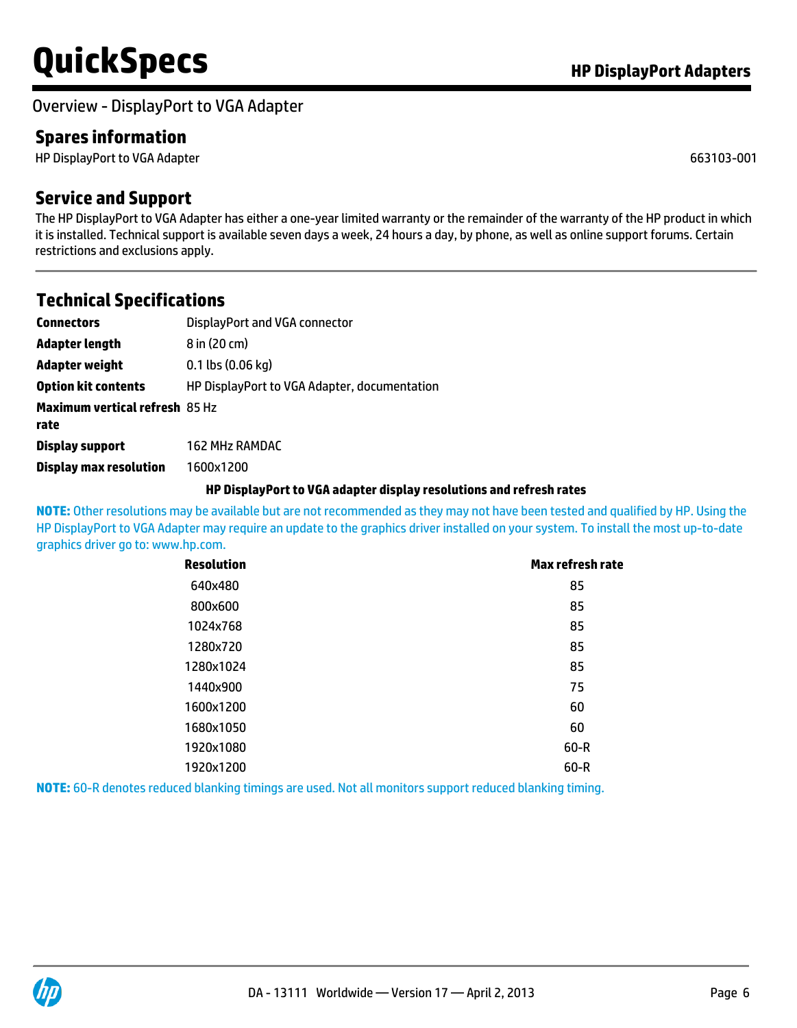Overview - DisplayPort to VGA Adapter

# **Spares information**

HP DisplayPort to VGA Adapter 663103-001

### **Service and Support**

The HP DisplayPort to VGA Adapter has either a one-year limited warranty or the remainder of the warranty of the HP product in which it is installed. Technical support is available seven days a week, 24 hours a day, by phone, as well as online support forums. Certain restrictions and exclusions apply.

#### **Technical Specifications**

| <b>Connectors</b>                             | DisplayPort and VGA connector                |
|-----------------------------------------------|----------------------------------------------|
| Adapter length                                | 8 in (20 cm)                                 |
| Adapter weight                                | $0.1$ lbs $(0.06$ kg)                        |
| <b>Option kit contents</b>                    | HP DisplayPort to VGA Adapter, documentation |
| <b>Maximum vertical refresh 85 Hz</b><br>rate |                                              |
| <b>Display support</b>                        | <b>162 MHz RAMDAC</b>                        |
| <b>Display max resolution</b>                 | 1600x1200                                    |

#### **HP DisplayPort to VGA adapter display resolutions and refresh rates**

**NOTE:** Other resolutions may be available but are not recommended as they may not have been tested and qualified by HP. Using the HP DisplayPort to VGA Adapter may require an update to the graphics driver installed on your system. To install the most up-to-date graphics driver go to: [www.hp.com.](http://www.hp.com.)

| <b>Resolution</b> | <b>Max refresh rate</b> |
|-------------------|-------------------------|
| 640x480           | 85                      |
| 800x600           | 85                      |
| 1024x768          | 85                      |
| 1280x720          | 85                      |
| 1280x1024         | 85                      |
| 1440×900          | 75                      |
| 1600x1200         | 60                      |
| 1680x1050         | 60                      |
| 1920x1080         | $60 - R$                |
| 1920x1200         | $60-R$                  |
|                   | .                       |

**NOTE:** 60-R denotes reduced blanking timings are used. Not all monitors support reduced blanking timing.

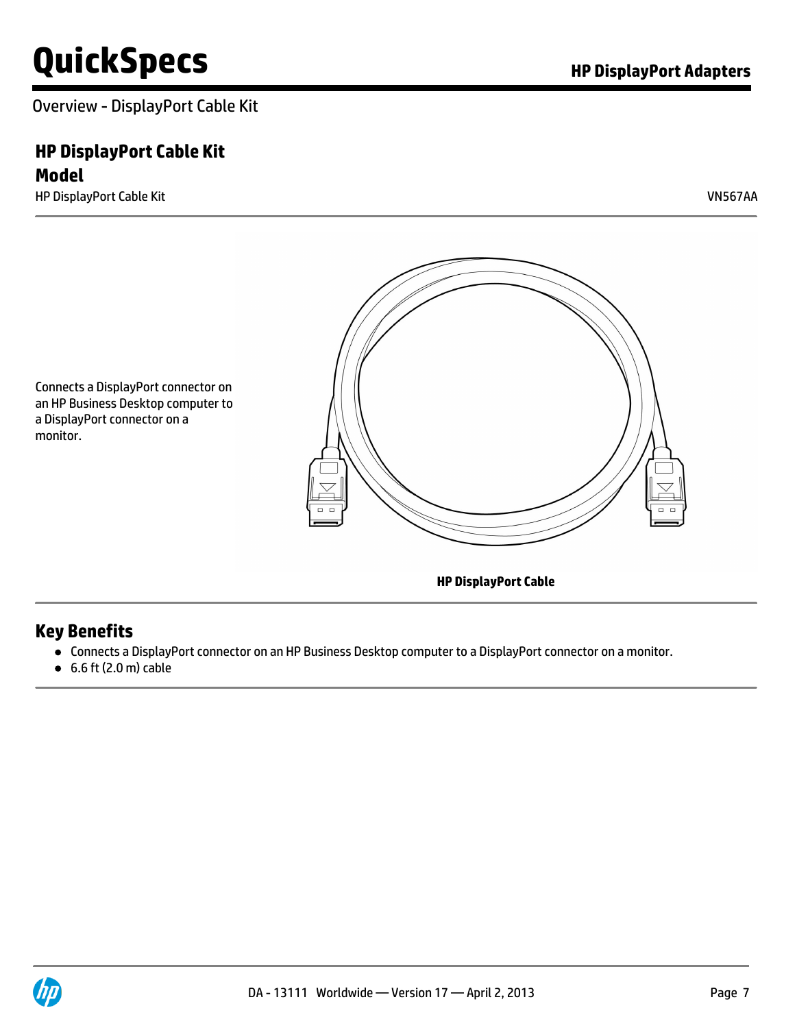Overview - DisplayPort Cable Kit

# **HP DisplayPort Cable Kit**

**Model**

HP DisplayPort Cable Kit VN567AA



Connects a DisplayPort connector on an HP Business Desktop computer to a DisplayPort connector on a monitor.

**HP DisplayPort Cable**

# **Key Benefits**

- Connects a DisplayPort connector on an HP Business Desktop computer to a DisplayPort connector on a monitor.
- 6.6 ft (2.0 m) cable

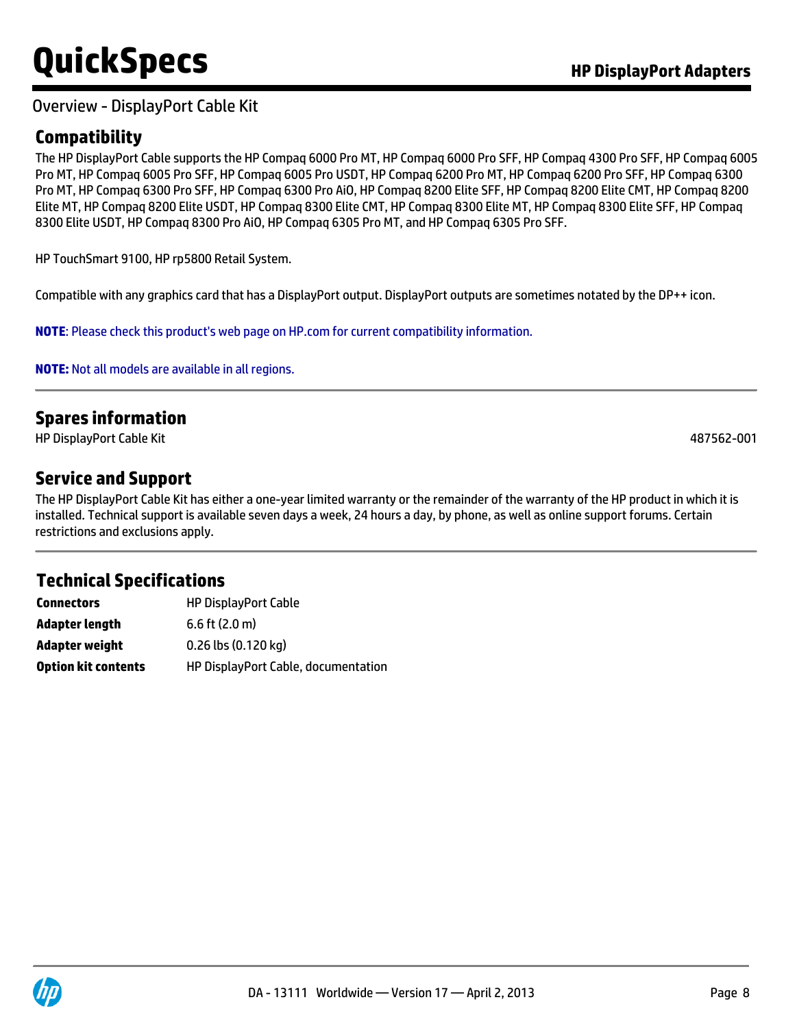#### Overview - DisplayPort Cable Kit

# **Compatibility**

The HP DisplayPort Cable supports the HP Compaq 6000 Pro MT, HP Compaq 6000 Pro SFF, HP Compaq 4300 Pro SFF, HP Compaq 6005 Pro MT, HP Compaq 6005 Pro SFF, HP Compaq 6005 Pro USDT, HP Compaq 6200 Pro MT, HP Compaq 6200 Pro SFF, HP Compaq 6300 Pro MT, HP Compaq 6300 Pro SFF, HP Compaq 6300 Pro AiO, HP Compaq 8200 Elite SFF, HP Compaq 8200 Elite CMT, HP Compaq 8200 Elite MT, HP Compaq 8200 Elite USDT, HP Compaq 8300 Elite CMT, HP Compaq 8300 Elite MT, HP Compaq 8300 Elite SFF, HP Compaq 8300 Elite USDT, HP Compaq 8300 Pro AiO, HP Compaq 6305 Pro MT, and HP Compaq 6305 Pro SFF.

HP TouchSmart 9100, HP rp5800 Retail System.

Compatible with any graphics card that has a DisplayPort output. DisplayPort outputs are sometimes notated by the DP++ icon.

**NOTE**: Please check this product's web page on HP.com for current compatibility information.

**NOTE:** Not all models are available in all regions.

### **Spares information**

HP DisplayPort Cable Kit 487562-001

#### **Service and Support**

The HP DisplayPort Cable Kit has either a one-year limited warranty or the remainder of the warranty of the HP product in which it is installed. Technical support is available seven days a week, 24 hours a day, by phone, as well as online support forums. Certain restrictions and exclusions apply.

# **Technical Specifications**

| <b>Connectors</b>          | <b>HP DisplayPort Cable</b>         |
|----------------------------|-------------------------------------|
| Adapter length             | $6.6$ ft $(2.0 \text{ m})$          |
| Adapter weight             | 0.26 lbs (0.120 kg)                 |
| <b>Option kit contents</b> | HP DisplayPort Cable, documentation |

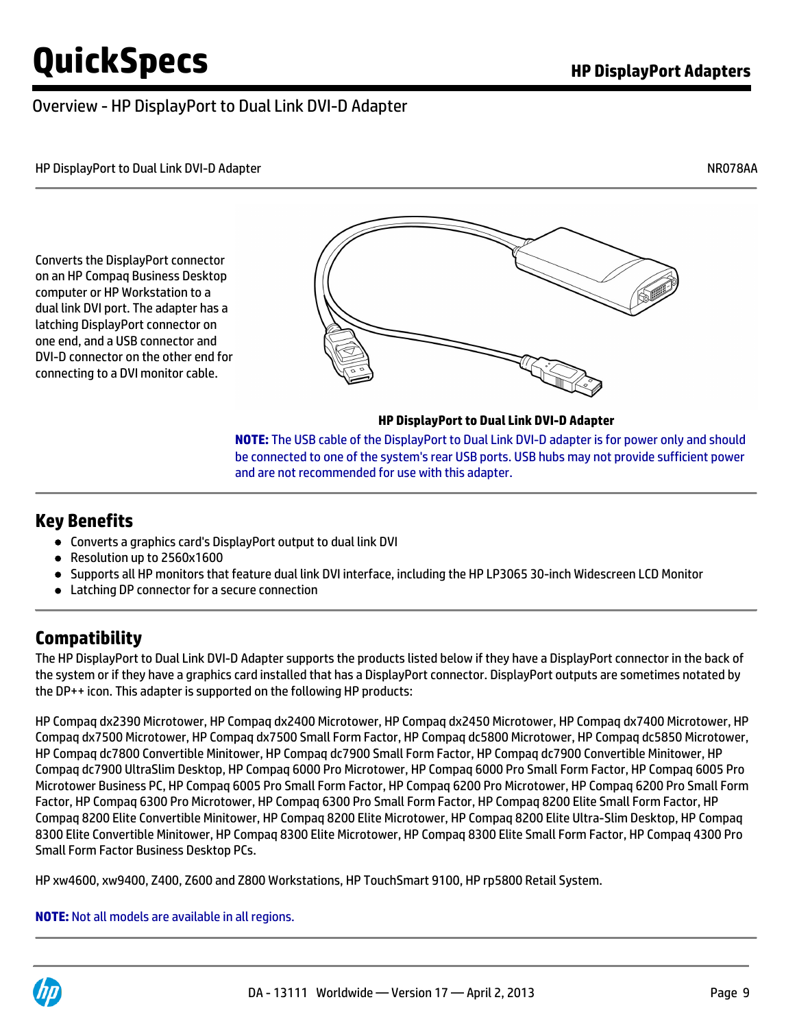### Overview - HP DisplayPort to Dual Link DVI-D Adapter

HP DisplayPort to Dual Link DVI-D Adapter NR078AA

Converts the DisplayPort connector on an HP Compaq Business Desktop computer or HP Workstation to a dual link DVI port. The adapter has a latching DisplayPort connector on one end, and a USB connector and DVI-D connector on the other end for connecting to a DVI monitor cable.



**HP DisplayPort to Dual Link DVI-D Adapter**

**NOTE:** The USB cable of the DisplayPort to Dual Link DVI-D adapter is for power only and should be connected to one of the system's rear USB ports. USB hubs may not provide sufficient power and are not recommended for use with this adapter.

#### **Key Benefits**

- Converts a graphics card's DisplayPort output to dual link DVI
- Resolution up to 2560x1600
- Supports all HP monitors that feature dual link DVI interface, including the HP LP3065 30-inch Widescreen LCD Monitor
- Latching DP connector for a secure connection

# **Compatibility**

The HP DisplayPort to Dual Link DVI-D Adapter supports the products listed below if they have a DisplayPort connector in the back of the system or if they have a graphics card installed that has a DisplayPort connector. DisplayPort outputs are sometimes notated by the DP++ icon. This adapter is supported on the following HP products:

HP Compaq dx2390 Microtower, HP Compaq dx2400 Microtower, HP Compaq dx2450 Microtower, HP Compaq dx7400 Microtower, HP Compaq dx7500 Microtower, HP Compaq dx7500 Small Form Factor, HP Compaq dc5800 Microtower, HP Compaq dc5850 Microtower, HP Compaq dc7800 Convertible Minitower, HP Compaq dc7900 Small Form Factor, HP Compaq dc7900 Convertible Minitower, HP Compaq dc7900 UltraSlim Desktop, HP Compaq 6000 Pro Microtower, HP Compaq 6000 Pro Small Form Factor, HP Compaq 6005 Pro Microtower Business PC, HP Compaq 6005 Pro Small Form Factor, HP Compaq 6200 Pro Microtower, HP Compaq 6200 Pro Small Form Factor, HP Compaq 6300 Pro Microtower, HP Compaq 6300 Pro Small Form Factor, HP Compaq 8200 Elite Small Form Factor, HP Compaq 8200 Elite Convertible Minitower, HP Compaq 8200 Elite Microtower, HP Compaq 8200 Elite Ultra-Slim Desktop, HP Compaq 8300 Elite Convertible Minitower, HP Compaq 8300 Elite Microtower, HP Compaq 8300 Elite Small Form Factor, HP Compaq 4300 Pro Small Form Factor Business Desktop PCs.

HP xw4600, xw9400, Z400, Z600 and Z800 Workstations, HP TouchSmart 9100, HP rp5800 Retail System.

**NOTE:** Not all models are available in all regions.